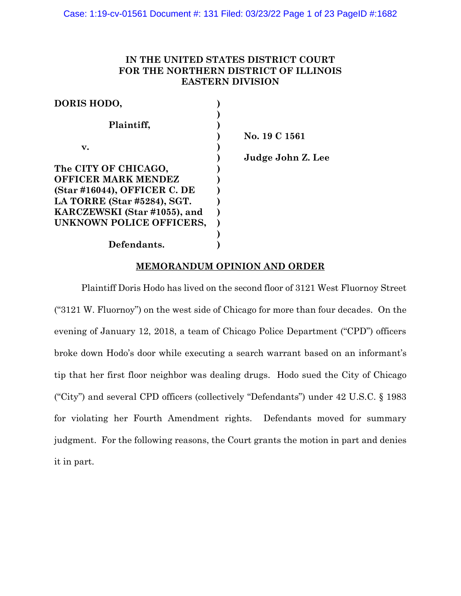# **IN THE UNITED STATES DISTRICT COURT FOR THE NORTHERN DISTRICT OF ILLINOIS EASTERN DIVISION**

| DORIS HODO,                  |                   |
|------------------------------|-------------------|
|                              |                   |
| Plaintiff,                   |                   |
|                              | No. 19 C 1561     |
| v.                           |                   |
|                              | Judge John Z. Lee |
| The CITY OF CHICAGO,         |                   |
| <b>OFFICER MARK MENDEZ</b>   |                   |
| (Star #16044), OFFICER C. DE |                   |
| LA TORRE (Star #5284), SGT.  |                   |
| KARCZEWSKI (Star #1055), and |                   |
| UNKNOWN POLICE OFFICERS,     |                   |
|                              |                   |
| Defendants.                  |                   |

## **MEMORANDUM OPINION AND ORDER**

Plaintiff Doris Hodo has lived on the second floor of 3121 West Fluornoy Street ("3121 W. Fluornoy") on the west side of Chicago for more than four decades. On the evening of January 12, 2018, a team of Chicago Police Department ("CPD") officers broke down Hodo's door while executing a search warrant based on an informant's tip that her first floor neighbor was dealing drugs. Hodo sued the City of Chicago ("City") and several CPD officers (collectively "Defendants") under 42 U.S.C. § 1983 for violating her Fourth Amendment rights. Defendants moved for summary judgment. For the following reasons, the Court grants the motion in part and denies it in part.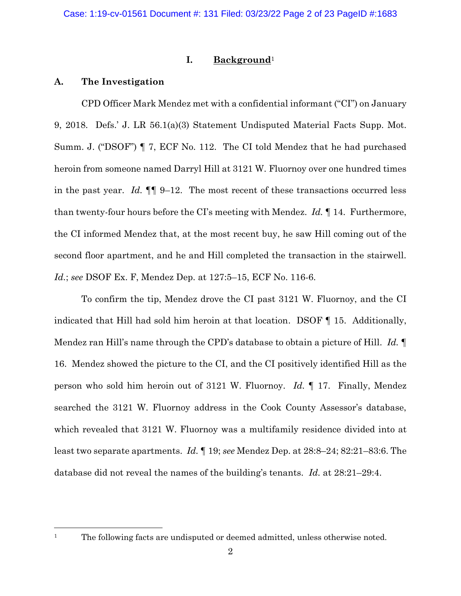## **I. Background**<sup>1</sup>

### **A. The Investigation**

CPD Officer Mark Mendez met with a confidential informant ("CI") on January 9, 2018. Defs.' J. LR 56.1(a)(3) Statement Undisputed Material Facts Supp. Mot. Summ. J. ("DSOF") ¶ 7, ECF No. 112. The CI told Mendez that he had purchased heroin from someone named Darryl Hill at 3121 W. Fluornoy over one hundred times in the past year. *Id.* ¶¶ 9–12. The most recent of these transactions occurred less than twenty-four hours before the CI's meeting with Mendez. *Id.* ¶ 14. Furthermore, the CI informed Mendez that, at the most recent buy, he saw Hill coming out of the second floor apartment, and he and Hill completed the transaction in the stairwell. *Id.*; *see* DSOF Ex. F, Mendez Dep. at 127:5–15, ECF No. 116-6.

To confirm the tip, Mendez drove the CI past 3121 W. Fluornoy, and the CI indicated that Hill had sold him heroin at that location. DSOF ¶ 15. Additionally, Mendez ran Hill's name through the CPD's database to obtain a picture of Hill. *Id.* ¶ 16. Mendez showed the picture to the CI, and the CI positively identified Hill as the person who sold him heroin out of 3121 W. Fluornoy. *Id.* ¶ 17. Finally, Mendez searched the 3121 W. Fluornoy address in the Cook County Assessor's database, which revealed that 3121 W. Fluornoy was a multifamily residence divided into at least two separate apartments. *Id.* ¶ 19; *see* Mendez Dep. at 28:8–24; 82:21–83:6. The database did not reveal the names of the building's tenants. *Id.* at 28:21–29:4.

<sup>&</sup>lt;sup>1</sup> The following facts are undisputed or deemed admitted, unless otherwise noted.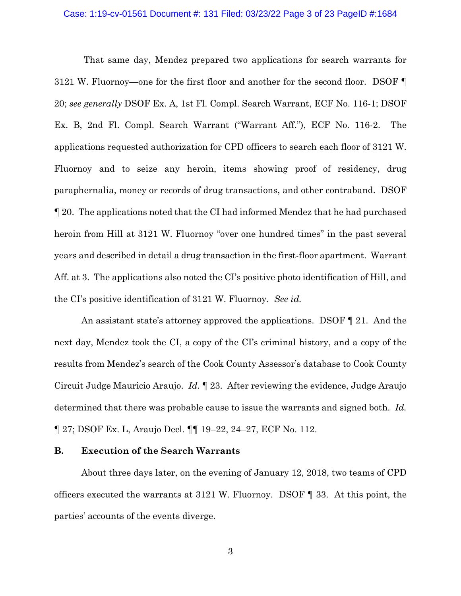#### Case: 1:19-cv-01561 Document #: 131 Filed: 03/23/22 Page 3 of 23 PageID #:1684

That same day, Mendez prepared two applications for search warrants for 3121 W. Fluornoy—one for the first floor and another for the second floor. DSOF ¶ 20; *see generally* DSOF Ex. A, 1st Fl. Compl. Search Warrant, ECF No. 116-1; DSOF Ex. B, 2nd Fl. Compl. Search Warrant ("Warrant Aff."), ECF No. 116-2. The applications requested authorization for CPD officers to search each floor of 3121 W. Fluornoy and to seize any heroin, items showing proof of residency, drug paraphernalia, money or records of drug transactions, and other contraband. DSOF ¶ 20. The applications noted that the CI had informed Mendez that he had purchased heroin from Hill at 3121 W. Fluornoy "over one hundred times" in the past several years and described in detail a drug transaction in the first-floor apartment. Warrant Aff. at 3. The applications also noted the CI's positive photo identification of Hill, and the CI's positive identification of 3121 W. Fluornoy. *See id.*

An assistant state's attorney approved the applications. DSOF ¶ 21. And the next day, Mendez took the CI, a copy of the CI's criminal history, and a copy of the results from Mendez's search of the Cook County Assessor's database to Cook County Circuit Judge Mauricio Araujo. *Id.* ¶ 23. After reviewing the evidence, Judge Araujo determined that there was probable cause to issue the warrants and signed both. *Id.* ¶ 27; DSOF Ex. L, Araujo Decl. ¶¶ 19–22, 24–27, ECF No. 112.

### **B. Execution of the Search Warrants**

About three days later, on the evening of January 12, 2018, two teams of CPD officers executed the warrants at 3121 W. Fluornoy. DSOF ¶ 33. At this point, the parties' accounts of the events diverge.

3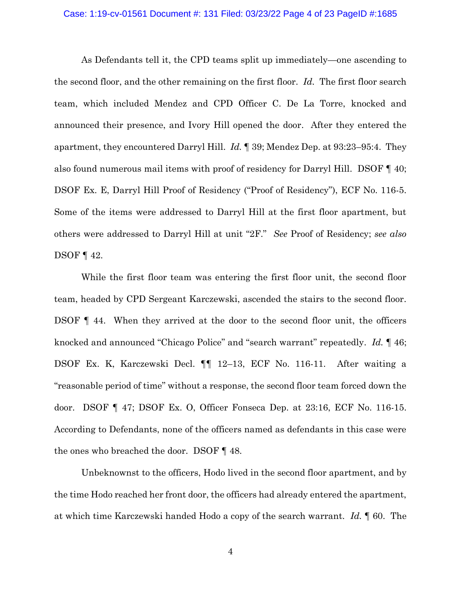#### Case: 1:19-cv-01561 Document #: 131 Filed: 03/23/22 Page 4 of 23 PageID #:1685

As Defendants tell it, the CPD teams split up immediately—one ascending to the second floor, and the other remaining on the first floor. *Id.* The first floor search team, which included Mendez and CPD Officer C. De La Torre, knocked and announced their presence, and Ivory Hill opened the door. After they entered the apartment, they encountered Darryl Hill. *Id.* ¶ 39; Mendez Dep. at 93:23–95:4. They also found numerous mail items with proof of residency for Darryl Hill. DSOF ¶ 40; DSOF Ex. E, Darryl Hill Proof of Residency ("Proof of Residency"), ECF No. 116-5. Some of the items were addressed to Darryl Hill at the first floor apartment, but others were addressed to Darryl Hill at unit "2F." *See* Proof of Residency; *see also*  DSOF ¶ 42.

While the first floor team was entering the first floor unit, the second floor team, headed by CPD Sergeant Karczewski, ascended the stairs to the second floor. DSOF ¶ 44. When they arrived at the door to the second floor unit, the officers knocked and announced "Chicago Police" and "search warrant" repeatedly. *Id.* ¶ 46; DSOF Ex. K, Karczewski Decl. ¶¶ 12–13, ECF No. 116-11. After waiting a "reasonable period of time" without a response, the second floor team forced down the door. DSOF ¶ 47; DSOF Ex. O, Officer Fonseca Dep. at 23:16, ECF No. 116-15. According to Defendants, none of the officers named as defendants in this case were the ones who breached the door. DSOF ¶ 48.

Unbeknownst to the officers, Hodo lived in the second floor apartment, and by the time Hodo reached her front door, the officers had already entered the apartment, at which time Karczewski handed Hodo a copy of the search warrant. *Id.* ¶ 60. The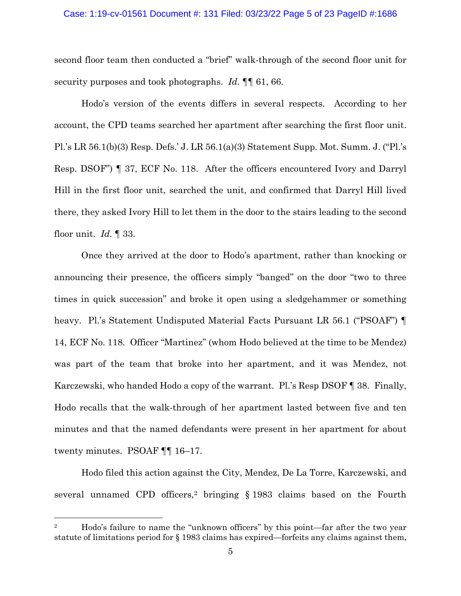#### Case: 1:19-cv-01561 Document #: 131 Filed: 03/23/22 Page 5 of 23 PageID #:1686

second floor team then conducted a "brief" walk-through of the second floor unit for security purposes and took photographs. *Id.* ¶¶ 61, 66.

Hodo's version of the events differs in several respects. According to her account, the CPD teams searched her apartment after searching the first floor unit. Pl.'s LR 56.1(b)(3) Resp. Defs.' J. LR 56.1(a)(3) Statement Supp. Mot. Summ. J. ("Pl.'s Resp. DSOF") ¶ 37, ECF No. 118. After the officers encountered Ivory and Darryl Hill in the first floor unit, searched the unit, and confirmed that Darryl Hill lived there, they asked Ivory Hill to let them in the door to the stairs leading to the second floor unit. *Id.* ¶ 33.

Once they arrived at the door to Hodo's apartment, rather than knocking or announcing their presence, the officers simply "banged" on the door "two to three times in quick succession" and broke it open using a sledgehammer or something heavy. Pl.'s Statement Undisputed Material Facts Pursuant LR 56.1 ("PSOAF") ¶ 14, ECF No. 118. Officer "Martinez" (whom Hodo believed at the time to be Mendez) was part of the team that broke into her apartment, and it was Mendez, not Karczewski, who handed Hodo a copy of the warrant. Pl.'s Resp DSOF ¶ 38. Finally, Hodo recalls that the walk-through of her apartment lasted between five and ten minutes and that the named defendants were present in her apartment for about twenty minutes. PSOAF ¶¶ 16–17.

Hodo filed this action against the City, Mendez, De La Torre, Karczewski, and several unnamed CPD officers,<sup>2</sup> bringing  $\S$  1983 claims based on the Fourth

<sup>&</sup>lt;sup>2</sup> Hodo's failure to name the "unknown officers" by this point—far after the two year statute of limitations period for § 1983 claims has expired—forfeits any claims against them,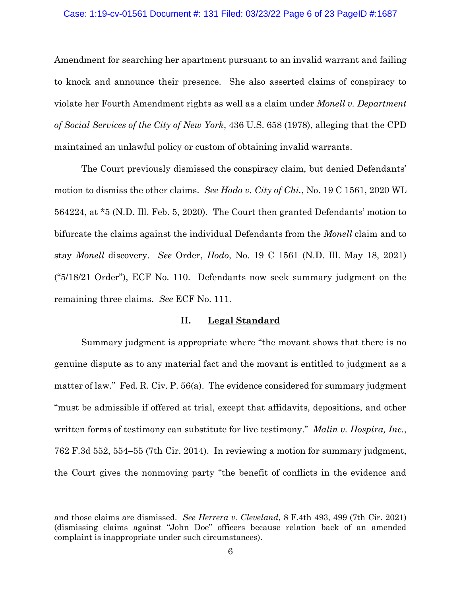#### Case: 1:19-cv-01561 Document #: 131 Filed: 03/23/22 Page 6 of 23 PageID #:1687

Amendment for searching her apartment pursuant to an invalid warrant and failing to knock and announce their presence. She also asserted claims of conspiracy to violate her Fourth Amendment rights as well as a claim under *Monell v. Department of Social Services of the City of New York*, 436 U.S. 658 (1978), alleging that the CPD maintained an unlawful policy or custom of obtaining invalid warrants.

The Court previously dismissed the conspiracy claim, but denied Defendants' motion to dismiss the other claims. *See Hodo v. City of Chi.*, No. 19 C 1561, 2020 WL 564224, at \*5 (N.D. Ill. Feb. 5, 2020). The Court then granted Defendants' motion to bifurcate the claims against the individual Defendants from the *Monell* claim and to stay *Monell* discovery. *See* Order, *Hodo*, No. 19 C 1561 (N.D. Ill. May 18, 2021) ("5/18/21 Order"), ECF No. 110. Defendants now seek summary judgment on the remaining three claims. *See* ECF No. 111.

## **II. Legal Standard**

Summary judgment is appropriate where "the movant shows that there is no genuine dispute as to any material fact and the movant is entitled to judgment as a matter of law." Fed. R. Civ. P. 56(a). The evidence considered for summary judgment "must be admissible if offered at trial, except that affidavits, depositions, and other written forms of testimony can substitute for live testimony." *Malin v. Hospira, Inc.*, 762 F.3d 552, 554–55 (7th Cir. 2014). In reviewing a motion for summary judgment, the Court gives the nonmoving party "the benefit of conflicts in the evidence and

and those claims are dismissed. *See Herrera v. Cleveland*, 8 F.4th 493, 499 (7th Cir. 2021) (dismissing claims against "John Doe" officers because relation back of an amended complaint is inappropriate under such circumstances).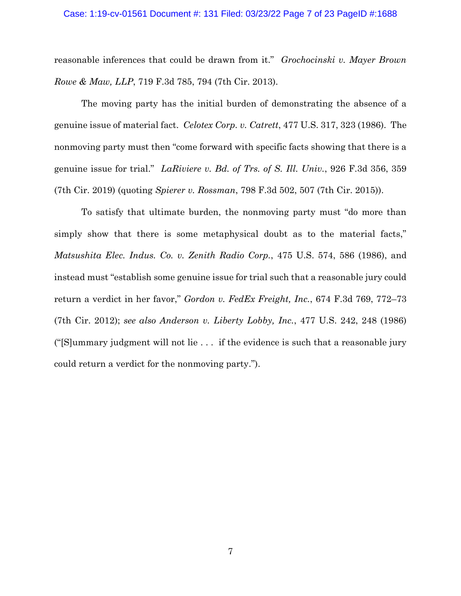#### Case: 1:19-cv-01561 Document #: 131 Filed: 03/23/22 Page 7 of 23 PageID #:1688

reasonable inferences that could be drawn from it." *Grochocinski v. Mayer Brown Rowe & Maw, LLP*, 719 F.3d 785, 794 (7th Cir. 2013).

The moving party has the initial burden of demonstrating the absence of a genuine issue of material fact. *Celotex Corp. v. Catrett*, 477 U.S. 317, 323 (1986). The nonmoving party must then "come forward with specific facts showing that there is a genuine issue for trial." *LaRiviere v. Bd. of Trs. of S. Ill. Univ.*, 926 F.3d 356, 359 (7th Cir. 2019) (quoting *Spierer v. Rossman*, 798 F.3d 502, 507 (7th Cir. 2015)).

To satisfy that ultimate burden, the nonmoving party must "do more than simply show that there is some metaphysical doubt as to the material facts," *Matsushita Elec. Indus. Co. v. Zenith Radio Corp.*, 475 U.S. 574, 586 (1986), and instead must "establish some genuine issue for trial such that a reasonable jury could return a verdict in her favor," *Gordon v. FedEx Freight, Inc.*, 674 F.3d 769, 772–73 (7th Cir. 2012); *see also Anderson v. Liberty Lobby, Inc.*, 477 U.S. 242, 248 (1986) ("[S]ummary judgment will not lie . . . if the evidence is such that a reasonable jury could return a verdict for the nonmoving party.").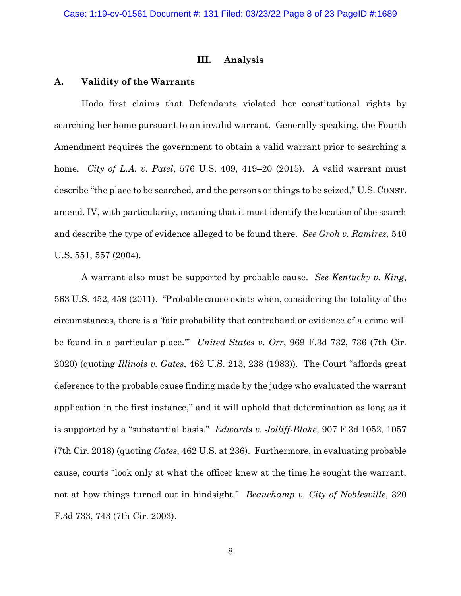### **III. Analysis**

### **A. Validity of the Warrants**

Hodo first claims that Defendants violated her constitutional rights by searching her home pursuant to an invalid warrant. Generally speaking, the Fourth Amendment requires the government to obtain a valid warrant prior to searching a home. *City of L.A. v. Patel*, 576 U.S. 409, 419–20 (2015). A valid warrant must describe "the place to be searched, and the persons or things to be seized," U.S. CONST. amend. IV, with particularity, meaning that it must identify the location of the search and describe the type of evidence alleged to be found there. *See Groh v. Ramirez*, 540 U.S. 551, 557 (2004).

A warrant also must be supported by probable cause. *See Kentucky v. King*, 563 U.S. 452, 459 (2011). "Probable cause exists when, considering the totality of the circumstances, there is a 'fair probability that contraband or evidence of a crime will be found in a particular place.'" *United States v. Orr*, 969 F.3d 732, 736 (7th Cir. 2020) (quoting *Illinois v. Gates*, 462 U.S. 213, 238 (1983)). The Court "affords great deference to the probable cause finding made by the judge who evaluated the warrant application in the first instance," and it will uphold that determination as long as it is supported by a "substantial basis." *Edwards v. Jolliff-Blake*, 907 F.3d 1052, 1057 (7th Cir. 2018) (quoting *Gates*, 462 U.S. at 236). Furthermore, in evaluating probable cause, courts "look only at what the officer knew at the time he sought the warrant, not at how things turned out in hindsight." *Beauchamp v. City of Noblesville*, 320 F.3d 733, 743 (7th Cir. 2003).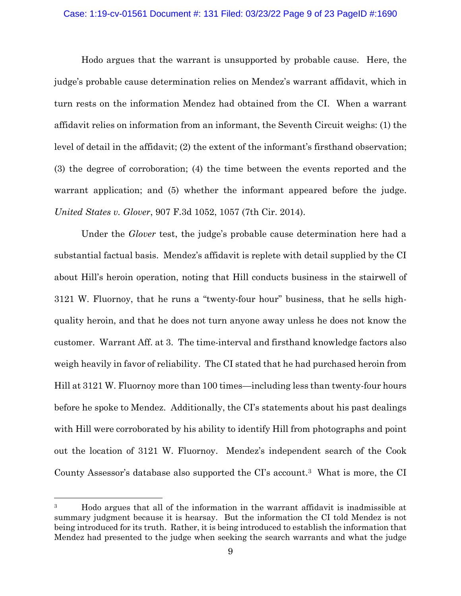#### Case: 1:19-cv-01561 Document #: 131 Filed: 03/23/22 Page 9 of 23 PageID #:1690

Hodo argues that the warrant is unsupported by probable cause. Here, the judge's probable cause determination relies on Mendez's warrant affidavit, which in turn rests on the information Mendez had obtained from the CI. When a warrant affidavit relies on information from an informant, the Seventh Circuit weighs: (1) the level of detail in the affidavit; (2) the extent of the informant's firsthand observation; (3) the degree of corroboration; (4) the time between the events reported and the warrant application; and  $(5)$  whether the informant appeared before the judge. *United States v. Glover*, 907 F.3d 1052, 1057 (7th Cir. 2014).

Under the *Glover* test, the judge's probable cause determination here had a substantial factual basis. Mendez's affidavit is replete with detail supplied by the CI about Hill's heroin operation, noting that Hill conducts business in the stairwell of 3121 W. Fluornoy, that he runs a "twenty-four hour" business, that he sells highquality heroin, and that he does not turn anyone away unless he does not know the customer. Warrant Aff. at 3. The time-interval and firsthand knowledge factors also weigh heavily in favor of reliability. The CI stated that he had purchased heroin from Hill at 3121 W. Fluornoy more than 100 times—including less than twenty-four hours before he spoke to Mendez. Additionally, the CI's statements about his past dealings with Hill were corroborated by his ability to identify Hill from photographs and point out the location of 3121 W. Fluornoy. Mendez's independent search of the Cook County Assessor's database also supported the CI's account. <sup>3</sup> What is more, the CI

<sup>&</sup>lt;sup>3</sup> Hodo argues that all of the information in the warrant affidavit is inadmissible at summary judgment because it is hearsay. But the information the CI told Mendez is not being introduced for its truth. Rather, it is being introduced to establish the information that Mendez had presented to the judge when seeking the search warrants and what the judge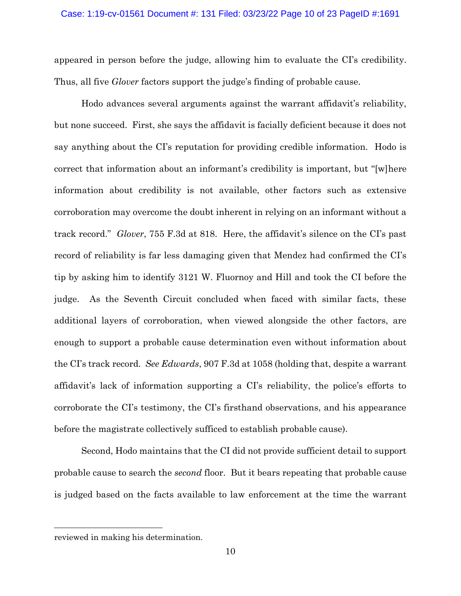appeared in person before the judge, allowing him to evaluate the CI's credibility. Thus, all five *Glover* factors support the judge's finding of probable cause.

Hodo advances several arguments against the warrant affidavit's reliability, but none succeed. First, she says the affidavit is facially deficient because it does not say anything about the CI's reputation for providing credible information. Hodo is correct that information about an informant's credibility is important, but "[w]here information about credibility is not available, other factors such as extensive corroboration may overcome the doubt inherent in relying on an informant without a track record." *Glover*, 755 F.3d at 818. Here, the affidavit's silence on the CI's past record of reliability is far less damaging given that Mendez had confirmed the CI's tip by asking him to identify 3121 W. Fluornoy and Hill and took the CI before the judge. As the Seventh Circuit concluded when faced with similar facts, these additional layers of corroboration, when viewed alongside the other factors, are enough to support a probable cause determination even without information about the CI's track record. *See Edwards*, 907 F.3d at 1058 (holding that, despite a warrant affidavit's lack of information supporting a CI's reliability, the police's efforts to corroborate the CI's testimony, the CI's firsthand observations, and his appearance before the magistrate collectively sufficed to establish probable cause).

Second, Hodo maintains that the CI did not provide sufficient detail to support probable cause to search the *second* floor. But it bears repeating that probable cause is judged based on the facts available to law enforcement at the time the warrant

reviewed in making his determination.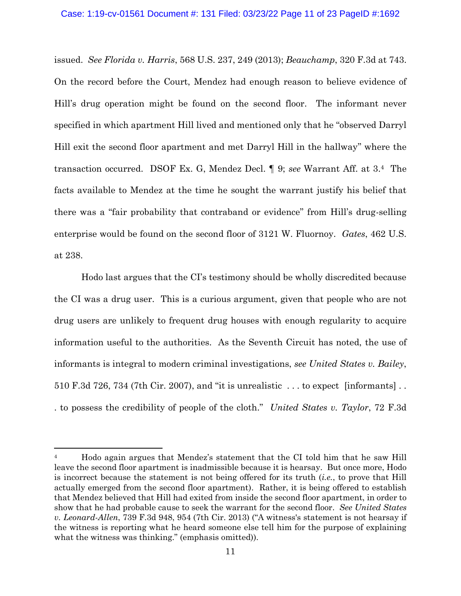issued. *See Florida v. Harris*, 568 U.S. 237, 249 (2013); *Beauchamp*, 320 F.3d at 743. On the record before the Court, Mendez had enough reason to believe evidence of Hill's drug operation might be found on the second floor. The informant never specified in which apartment Hill lived and mentioned only that he "observed Darryl Hill exit the second floor apartment and met Darryl Hill in the hallway" where the transaction occurred. DSOF Ex. G, Mendez Decl. ¶ 9; *see* Warrant Aff. at 3. <sup>4</sup> The facts available to Mendez at the time he sought the warrant justify his belief that there was a "fair probability that contraband or evidence" from Hill's drug-selling enterprise would be found on the second floor of 3121 W. Fluornoy. *Gates*, 462 U.S. at 238.

Hodo last argues that the CI's testimony should be wholly discredited because the CI was a drug user. This is a curious argument, given that people who are not drug users are unlikely to frequent drug houses with enough regularity to acquire information useful to the authorities. As the Seventh Circuit has noted, the use of informants is integral to modern criminal investigations, *see United States v. Bailey*, 510 F.3d 726, 734 (7th Cir. 2007), and "it is unrealistic . . . to expect [informants] . . . to possess the credibility of people of the cloth." *United States v. Taylor*, 72 F.3d

<sup>&</sup>lt;sup>4</sup> Hodo again argues that Mendez's statement that the CI told him that he saw Hill leave the second floor apartment is inadmissible because it is hearsay. But once more, Hodo is incorrect because the statement is not being offered for its truth (*i.e.*, to prove that Hill actually emerged from the second floor apartment). Rather, it is being offered to establish that Mendez believed that Hill had exited from inside the second floor apartment, in order to show that he had probable cause to seek the warrant for the second floor. *See United States v. Leonard-Allen*, 739 F.3d 948, 954 (7th Cir. 2013) ("A witness's statement is not hearsay if the witness is reporting what he heard someone else tell him for the purpose of explaining what the witness was thinking." (emphasis omitted)).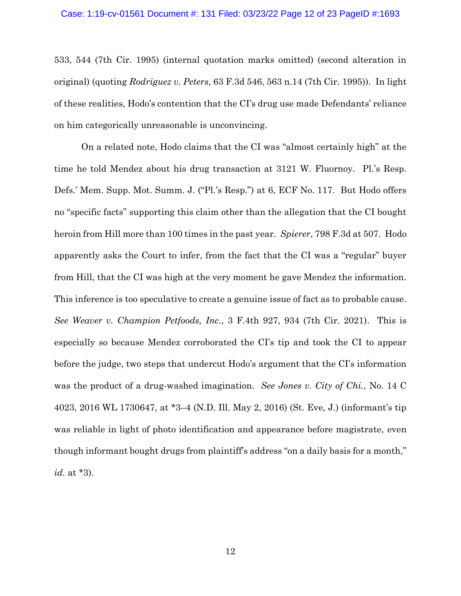533, 544 (7th Cir. 1995) (internal quotation marks omitted) (second alteration in original) (quoting *Rodriguez v. Peters*, 63 F.3d 546, 563 n.14 (7th Cir. 1995)). In light of these realities, Hodo's contention that the CI's drug use made Defendants' reliance on him categorically unreasonable is unconvincing.

On a related note, Hodo claims that the CI was "almost certainly high" at the time he told Mendez about his drug transaction at 3121 W. Fluornoy. Pl.'s Resp. Defs.' Mem. Supp. Mot. Summ. J. ("Pl.'s Resp.") at 6, ECF No. 117. But Hodo offers no "specific facts" supporting this claim other than the allegation that the CI bought heroin from Hill more than 100 times in the past year. *Spierer*, 798 F.3d at 507. Hodo apparently asks the Court to infer, from the fact that the CI was a "regular" buyer from Hill, that the CI was high at the very moment he gave Mendez the information. This inference is too speculative to create a genuine issue of fact as to probable cause. *See Weaver v. Champion Petfoods, Inc.*, 3 F.4th 927, 934 (7th Cir. 2021). This is especially so because Mendez corroborated the CI's tip and took the CI to appear before the judge, two steps that undercut Hodo's argument that the CI's information was the product of a drug-washed imagination. *See Jones v. City of Chi.*, No. 14 C 4023, 2016 WL 1730647, at \*3–4 (N.D. Ill. May 2, 2016) (St. Eve, J.) (informant's tip was reliable in light of photo identification and appearance before magistrate, even though informant bought drugs from plaintiff's address "on a daily basis for a month," *id.* at \*3).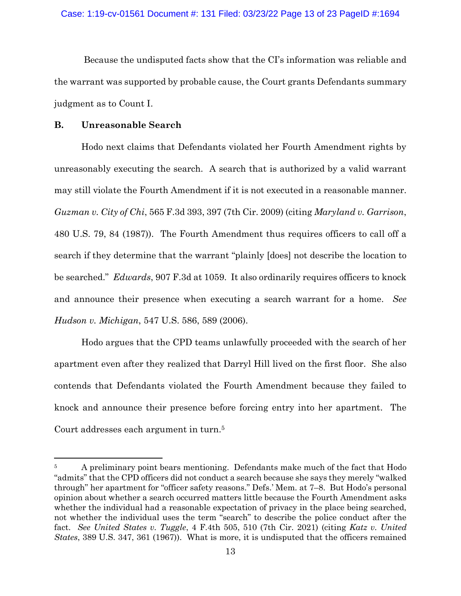Because the undisputed facts show that the CI's information was reliable and the warrant was supported by probable cause, the Court grants Defendants summary judgment as to Count I.

## **B. Unreasonable Search**

Hodo next claims that Defendants violated her Fourth Amendment rights by unreasonably executing the search. A search that is authorized by a valid warrant may still violate the Fourth Amendment if it is not executed in a reasonable manner. *Guzman v. City of Chi*, 565 F.3d 393, 397 (7th Cir. 2009) (citing *Maryland v. Garrison*, 480 U.S. 79, 84 (1987)). The Fourth Amendment thus requires officers to call off a search if they determine that the warrant "plainly [does] not describe the location to be searched." *Edwards*, 907 F.3d at 1059. It also ordinarily requires officers to knock and announce their presence when executing a search warrant for a home. *See Hudson v. Michigan*, 547 U.S. 586, 589 (2006).

Hodo argues that the CPD teams unlawfully proceeded with the search of her apartment even after they realized that Darryl Hill lived on the first floor. She also contends that Defendants violated the Fourth Amendment because they failed to knock and announce their presence before forcing entry into her apartment. The Court addresses each argument in turn.<sup>5</sup>

<sup>&</sup>lt;sup>5</sup> A preliminary point bears mentioning. Defendants make much of the fact that Hodo "admits" that the CPD officers did not conduct a search because she says they merely "walked through" her apartment for "officer safety reasons." Defs.' Mem. at 7–8. But Hodo's personal opinion about whether a search occurred matters little because the Fourth Amendment asks whether the individual had a reasonable expectation of privacy in the place being searched, not whether the individual uses the term "search" to describe the police conduct after the fact. *See United States v. Tuggle*, 4 F.4th 505, 510 (7th Cir. 2021) (citing *Katz v. United States*, 389 U.S. 347, 361 (1967)). What is more, it is undisputed that the officers remained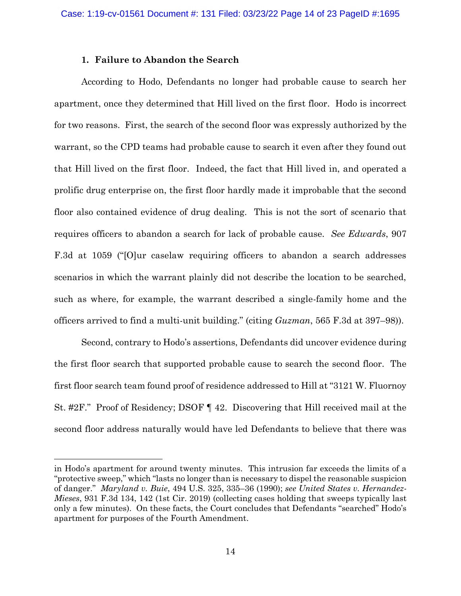### **1. Failure to Abandon the Search**

According to Hodo, Defendants no longer had probable cause to search her apartment, once they determined that Hill lived on the first floor. Hodo is incorrect for two reasons. First, the search of the second floor was expressly authorized by the warrant, so the CPD teams had probable cause to search it even after they found out that Hill lived on the first floor. Indeed, the fact that Hill lived in, and operated a prolific drug enterprise on, the first floor hardly made it improbable that the second floor also contained evidence of drug dealing. This is not the sort of scenario that requires officers to abandon a search for lack of probable cause. *See Edwards*, 907 F.3d at 1059 ("[O]ur caselaw requiring officers to abandon a search addresses scenarios in which the warrant plainly did not describe the location to be searched, such as where, for example, the warrant described a single-family home and the officers arrived to find a multi-unit building." (citing *Guzman*, 565 F.3d at 397–98)).

Second, contrary to Hodo's assertions, Defendants did uncover evidence during the first floor search that supported probable cause to search the second floor. The first floor search team found proof of residence addressed to Hill at "3121 W. Fluornoy St. #2F." Proof of Residency; DSOF ¶ 42. Discovering that Hill received mail at the second floor address naturally would have led Defendants to believe that there was

in Hodo's apartment for around twenty minutes. This intrusion far exceeds the limits of a "protective sweep," which "lasts no longer than is necessary to dispel the reasonable suspicion of danger." *Maryland v. Buie*, 494 U.S. 325, 335–36 (1990); *see United States v. Hernandez-Mieses*, 931 F.3d 134, 142 (1st Cir. 2019) (collecting cases holding that sweeps typically last only a few minutes). On these facts, the Court concludes that Defendants "searched" Hodo's apartment for purposes of the Fourth Amendment.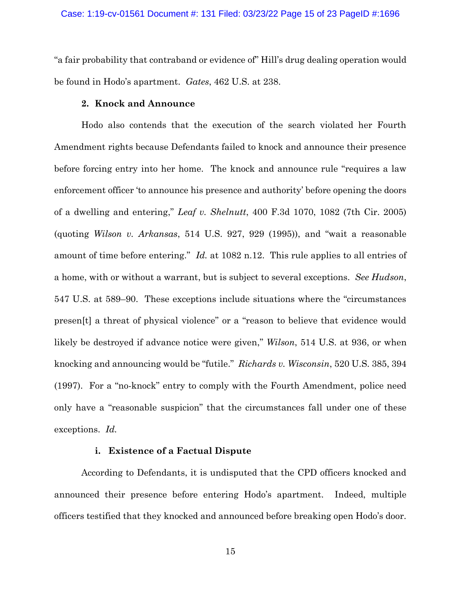"a fair probability that contraband or evidence of" Hill's drug dealing operation would be found in Hodo's apartment. *Gates*, 462 U.S. at 238.

## **2. Knock and Announce**

Hodo also contends that the execution of the search violated her Fourth Amendment rights because Defendants failed to knock and announce their presence before forcing entry into her home. The knock and announce rule "requires a law enforcement officer 'to announce his presence and authority' before opening the doors of a dwelling and entering," *Leaf v. Shelnutt*, 400 F.3d 1070, 1082 (7th Cir. 2005) (quoting *Wilson v. Arkansas*, 514 U.S. 927, 929 (1995)), and "wait a reasonable amount of time before entering." *Id.* at 1082 n.12. This rule applies to all entries of a home, with or without a warrant, but is subject to several exceptions. *See Hudson*, 547 U.S. at 589–90. These exceptions include situations where the "circumstances presen[t] a threat of physical violence" or a "reason to believe that evidence would likely be destroyed if advance notice were given," *Wilson*, 514 U.S. at 936, or when knocking and announcing would be "futile." *Richards v. Wisconsin*, 520 U.S. 385, 394 (1997). For a "no-knock" entry to comply with the Fourth Amendment, police need only have a "reasonable suspicion" that the circumstances fall under one of these exceptions. *Id.*

## **i. Existence of a Factual Dispute**

According to Defendants, it is undisputed that the CPD officers knocked and announced their presence before entering Hodo's apartment. Indeed, multiple officers testified that they knocked and announced before breaking open Hodo's door.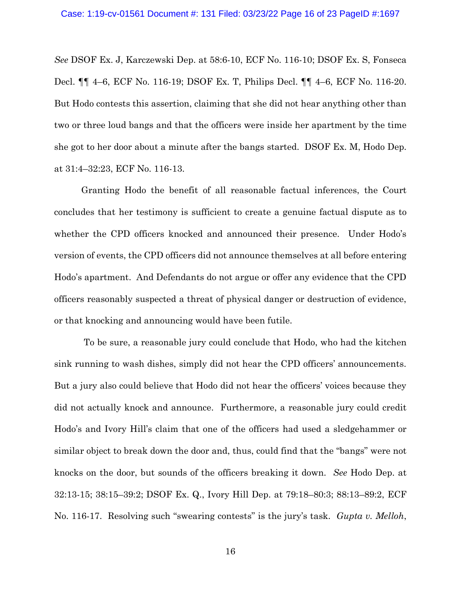*See* DSOF Ex. J, Karczewski Dep. at 58:6-10, ECF No. 116-10; DSOF Ex. S, Fonseca Decl. ¶¶ 4–6, ECF No. 116-19; DSOF Ex. T, Philips Decl. ¶¶ 4–6, ECF No. 116-20. But Hodo contests this assertion, claiming that she did not hear anything other than two or three loud bangs and that the officers were inside her apartment by the time she got to her door about a minute after the bangs started. DSOF Ex. M, Hodo Dep. at 31:4–32:23, ECF No. 116-13.

Granting Hodo the benefit of all reasonable factual inferences, the Court concludes that her testimony is sufficient to create a genuine factual dispute as to whether the CPD officers knocked and announced their presence. Under Hodo's version of events, the CPD officers did not announce themselves at all before entering Hodo's apartment. And Defendants do not argue or offer any evidence that the CPD officers reasonably suspected a threat of physical danger or destruction of evidence, or that knocking and announcing would have been futile.

To be sure, a reasonable jury could conclude that Hodo, who had the kitchen sink running to wash dishes, simply did not hear the CPD officers' announcements. But a jury also could believe that Hodo did not hear the officers' voices because they did not actually knock and announce. Furthermore, a reasonable jury could credit Hodo's and Ivory Hill's claim that one of the officers had used a sledgehammer or similar object to break down the door and, thus, could find that the "bangs" were not knocks on the door, but sounds of the officers breaking it down. *See* Hodo Dep. at 32:13-15; 38:15–39:2; DSOF Ex. Q., Ivory Hill Dep. at 79:18–80:3; 88:13–89:2, ECF No. 116-17. Resolving such "swearing contests" is the jury's task. *Gupta v. Melloh*,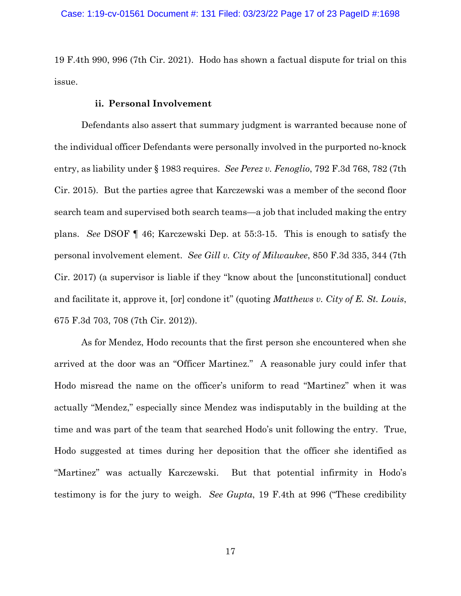19 F.4th 990, 996 (7th Cir. 2021). Hodo has shown a factual dispute for trial on this issue.

### **ii. Personal Involvement**

Defendants also assert that summary judgment is warranted because none of the individual officer Defendants were personally involved in the purported no-knock entry, as liability under § 1983 requires. *See Perez v. Fenoglio*, 792 F.3d 768, 782 (7th Cir. 2015). But the parties agree that Karczewski was a member of the second floor search team and supervised both search teams—a job that included making the entry plans. *See* DSOF ¶ 46; Karczewski Dep. at 55:3-15. This is enough to satisfy the personal involvement element. *See Gill v. City of Milwaukee*, 850 F.3d 335, 344 (7th Cir. 2017) (a supervisor is liable if they "know about the [unconstitutional] conduct and facilitate it, approve it, [or] condone it" (quoting *Matthews v. City of E. St. Louis*, 675 F.3d 703, 708 (7th Cir. 2012)).

As for Mendez, Hodo recounts that the first person she encountered when she arrived at the door was an "Officer Martinez." A reasonable jury could infer that Hodo misread the name on the officer's uniform to read "Martinez" when it was actually "Mendez," especially since Mendez was indisputably in the building at the time and was part of the team that searched Hodo's unit following the entry. True, Hodo suggested at times during her deposition that the officer she identified as "Martinez" was actually Karczewski. But that potential infirmity in Hodo's testimony is for the jury to weigh. *See Gupta*, 19 F.4th at 996 ("These credibility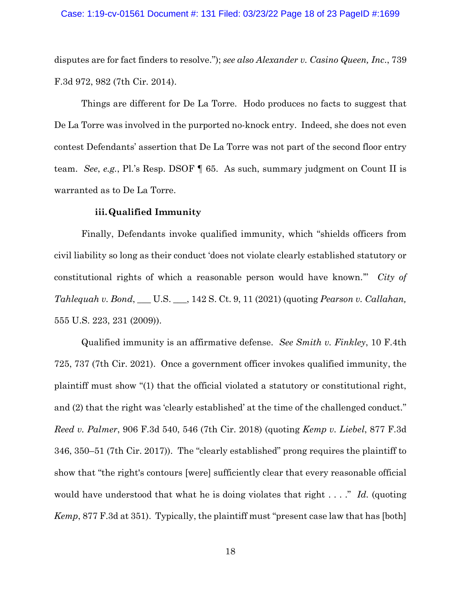#### Case: 1:19-cv-01561 Document #: 131 Filed: 03/23/22 Page 18 of 23 PageID #:1699

disputes are for fact finders to resolve."); *see also Alexander v. Casino Queen, Inc*., 739 F.3d 972, 982 (7th Cir. 2014).

Things are different for De La Torre. Hodo produces no facts to suggest that De La Torre was involved in the purported no-knock entry. Indeed, she does not even contest Defendants' assertion that De La Torre was not part of the second floor entry team. *See*, *e.g.*, Pl.'s Resp. DSOF ¶ 65. As such, summary judgment on Count II is warranted as to De La Torre.

### **iii.Qualified Immunity**

Finally, Defendants invoke qualified immunity, which "shields officers from civil liability so long as their conduct 'does not violate clearly established statutory or constitutional rights of which a reasonable person would have known.'" *City of Tahlequah v. Bond*, \_\_\_ U.S. \_\_\_, 142 S. Ct. 9, 11 (2021) (quoting *Pearson v. Callahan,*  555 U.S. 223, 231 (2009)).

Qualified immunity is an affirmative defense. *See Smith v. Finkley*, 10 F.4th 725, 737 (7th Cir. 2021). Once a government officer invokes qualified immunity, the plaintiff must show "(1) that the official violated a statutory or constitutional right, and (2) that the right was 'clearly established' at the time of the challenged conduct." *Reed v. Palmer*, 906 F.3d 540, 546 (7th Cir. 2018) (quoting *Kemp v. Liebel*, 877 F.3d 346, 350–51 (7th Cir. 2017)). The "clearly established" prong requires the plaintiff to show that "the right's contours [were] sufficiently clear that every reasonable official would have understood that what he is doing violates that right . . . ." *Id.* (quoting *Kemp*, 877 F.3d at 351). Typically, the plaintiff must "present case law that has [both]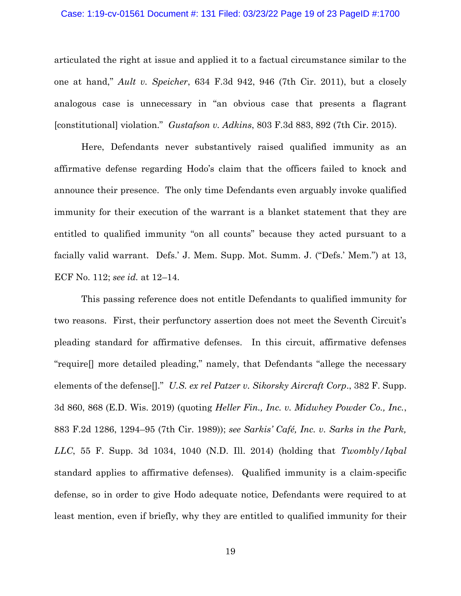#### Case: 1:19-cv-01561 Document #: 131 Filed: 03/23/22 Page 19 of 23 PageID #:1700

articulated the right at issue and applied it to a factual circumstance similar to the one at hand," *Ault v. Speicher*, 634 F.3d 942, 946 (7th Cir. 2011), but a closely analogous case is unnecessary in "an obvious case that presents a flagrant [constitutional] violation." *Gustafson v. Adkins*, 803 F.3d 883, 892 (7th Cir. 2015).

Here, Defendants never substantively raised qualified immunity as an affirmative defense regarding Hodo's claim that the officers failed to knock and announce their presence. The only time Defendants even arguably invoke qualified immunity for their execution of the warrant is a blanket statement that they are entitled to qualified immunity "on all counts" because they acted pursuant to a facially valid warrant. Defs.' J. Mem. Supp. Mot. Summ. J. ("Defs.' Mem.") at 13, ECF No. 112; *see id.* at 12–14.

This passing reference does not entitle Defendants to qualified immunity for two reasons. First, their perfunctory assertion does not meet the Seventh Circuit's pleading standard for affirmative defenses. In this circuit, affirmative defenses "require[] more detailed pleading," namely, that Defendants "allege the necessary elements of the defense[]." *U.S. ex rel Patzer v. Sikorsky Aircraft Corp*., 382 F. Supp. 3d 860, 868 (E.D. Wis. 2019) (quoting *Heller Fin., Inc. v. Midwhey Powder Co., Inc.*, 883 F.2d 1286, 1294–95 (7th Cir. 1989)); *see Sarkis' Café, Inc. v. Sarks in the Park, LLC*, 55 F. Supp. 3d 1034, 1040 (N.D. Ill. 2014) (holding that *Twombly/Iqbal*  standard applies to affirmative defenses).Qualified immunity is a claim-specific defense, so in order to give Hodo adequate notice, Defendants were required to at least mention, even if briefly, why they are entitled to qualified immunity for their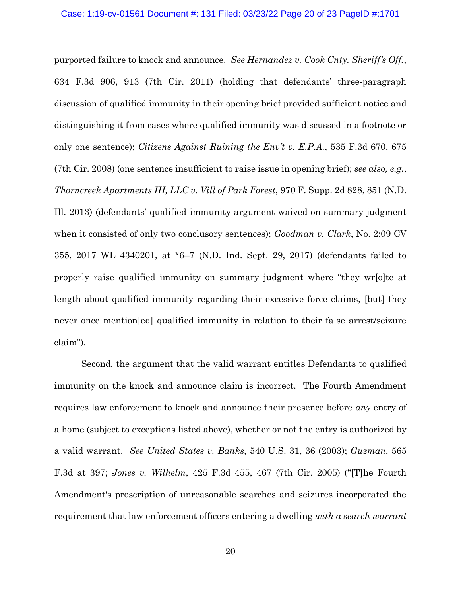purported failure to knock and announce. *See Hernandez v. Cook Cnty. Sheriff's Off.*, 634 F.3d 906, 913 (7th Cir. 2011) (holding that defendants' three-paragraph discussion of qualified immunity in their opening brief provided sufficient notice and distinguishing it from cases where qualified immunity was discussed in a footnote or only one sentence); *Citizens Against Ruining the Env't v. E.P.A.*, 535 F.3d 670, 675 (7th Cir. 2008) (one sentence insufficient to raise issue in opening brief); *see also, e.g.*, *Thorncreek Apartments III, LLC v. Vill of Park Forest*, 970 F. Supp. 2d 828, 851 (N.D. Ill. 2013) (defendants' qualified immunity argument waived on summary judgment when it consisted of only two conclusory sentences); *Goodman v. Clark*, No. 2:09 CV 355, 2017 WL 4340201, at \*6–7 (N.D. Ind. Sept. 29, 2017) (defendants failed to properly raise qualified immunity on summary judgment where "they wr[o]te at length about qualified immunity regarding their excessive force claims, [but] they never once mention[ed] qualified immunity in relation to their false arrest/seizure claim").

Second, the argument that the valid warrant entitles Defendants to qualified immunity on the knock and announce claim is incorrect. The Fourth Amendment requires law enforcement to knock and announce their presence before *any* entry of a home (subject to exceptions listed above), whether or not the entry is authorized by a valid warrant. *See United States v. Banks*, 540 U.S. 31, 36 (2003); *Guzman*, 565 F.3d at 397; *Jones v. Wilhelm*, 425 F.3d 455, 467 (7th Cir. 2005) ("[T]he Fourth Amendment's proscription of unreasonable searches and seizures incorporated the requirement that law enforcement officers entering a dwelling *with a search warrant*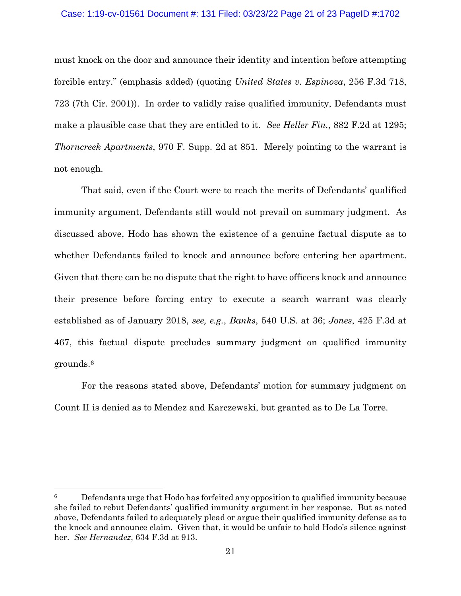## Case: 1:19-cv-01561 Document #: 131 Filed: 03/23/22 Page 21 of 23 PageID #:1702

must knock on the door and announce their identity and intention before attempting forcible entry." (emphasis added) (quoting *United States v. Espinoza*, 256 F.3d 718, 723 (7th Cir. 2001)). In order to validly raise qualified immunity, Defendants must make a plausible case that they are entitled to it. *See Heller Fin.*, 882 F.2d at 1295; *Thorncreek Apartments*, 970 F. Supp. 2d at 851. Merely pointing to the warrant is not enough.

That said, even if the Court were to reach the merits of Defendants' qualified immunity argument, Defendants still would not prevail on summary judgment. As discussed above, Hodo has shown the existence of a genuine factual dispute as to whether Defendants failed to knock and announce before entering her apartment. Given that there can be no dispute that the right to have officers knock and announce their presence before forcing entry to execute a search warrant was clearly established as of January 2018, *see, e.g.*, *Banks*, 540 U.S. at 36; *Jones*, 425 F.3d at 467, this factual dispute precludes summary judgment on qualified immunity grounds. 6

For the reasons stated above, Defendants' motion for summary judgment on Count II is denied as to Mendez and Karczewski, but granted as to De La Torre.

 $6 \text{°}$  Defendants urge that Hodo has forfeited any opposition to qualified immunity because she failed to rebut Defendants' qualified immunity argument in her response. But as noted above, Defendants failed to adequately plead or argue their qualified immunity defense as to the knock and announce claim. Given that, it would be unfair to hold Hodo's silence against her. *See Hernandez*, 634 F.3d at 913.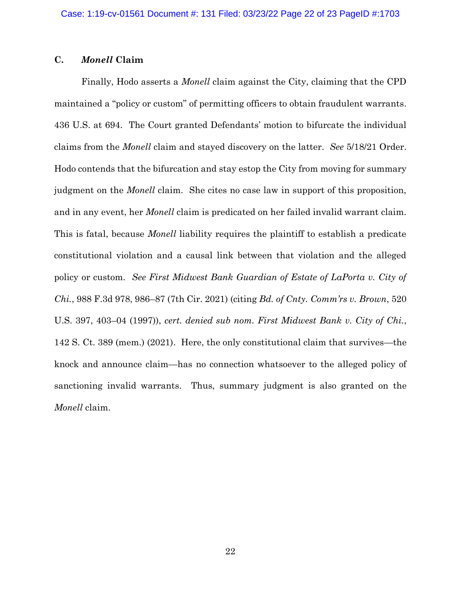## **C.** *Monell* **Claim**

Finally, Hodo asserts a *Monell* claim against the City, claiming that the CPD maintained a "policy or custom" of permitting officers to obtain fraudulent warrants. 436 U.S. at 694. The Court granted Defendants' motion to bifurcate the individual claims from the *Monell* claim and stayed discovery on the latter. *See* 5/18/21 Order. Hodo contends that the bifurcation and stay estop the City from moving for summary judgment on the *Monell* claim. She cites no case law in support of this proposition, and in any event, her *Monell* claim is predicated on her failed invalid warrant claim. This is fatal, because *Monell* liability requires the plaintiff to establish a predicate constitutional violation and a causal link between that violation and the alleged policy or custom. *See First Midwest Bank Guardian of Estate of LaPorta v. City of Chi.*, 988 F.3d 978, 986–87 (7th Cir. 2021) (citing *Bd. of Cnty. Comm'rs v. Brown*, 520 U.S. 397, 403–04 (1997)), *cert. denied sub nom. First Midwest Bank v. City of Chi.*, 142 S. Ct. 389 (mem.) (2021). Here, the only constitutional claim that survives—the knock and announce claim—has no connection whatsoever to the alleged policy of sanctioning invalid warrants. Thus, summary judgment is also granted on the *Monell* claim.